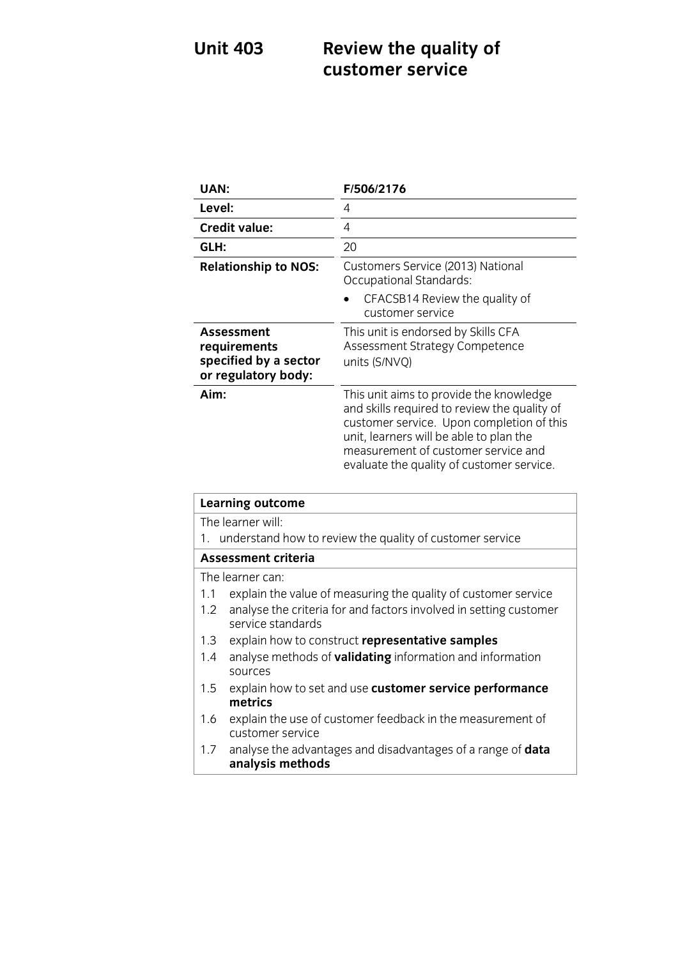## **UNITE 403 <b>REVIEW THE QUALITY** OF **REVIEW OF A customer service**

| UAN:                                                                       | F/506/2176                                                                                                                                                                                                                                                          |
|----------------------------------------------------------------------------|---------------------------------------------------------------------------------------------------------------------------------------------------------------------------------------------------------------------------------------------------------------------|
| Level:                                                                     | 4                                                                                                                                                                                                                                                                   |
| <b>Credit value:</b>                                                       | 4                                                                                                                                                                                                                                                                   |
| GLH:                                                                       | 20                                                                                                                                                                                                                                                                  |
| <b>Relationship to NOS:</b>                                                | Customers Service (2013) National<br>Occupational Standards:                                                                                                                                                                                                        |
|                                                                            | CFACSB14 Review the quality of<br>customer service                                                                                                                                                                                                                  |
| Assessment<br>requirements<br>specified by a sector<br>or regulatory body: | This unit is endorsed by Skills CFA<br>Assessment Strategy Competence<br>units (S/NVQ)                                                                                                                                                                              |
| Aim:                                                                       | This unit aims to provide the knowledge<br>and skills required to review the quality of<br>customer service. Upon completion of this<br>unit, learners will be able to plan the<br>measurement of customer service and<br>evaluate the quality of customer service. |

| <b>Learning outcome</b>                                     |                                                                                        |  |
|-------------------------------------------------------------|----------------------------------------------------------------------------------------|--|
|                                                             | The learner will:                                                                      |  |
| 1. understand how to review the quality of customer service |                                                                                        |  |
| <b>Assessment criteria</b>                                  |                                                                                        |  |
| The learner can:                                            |                                                                                        |  |
| 1.1                                                         | explain the value of measuring the quality of customer service                         |  |
| 1.2                                                         | analyse the criteria for and factors involved in setting customer<br>service standards |  |
| 1.3                                                         | explain how to construct representative samples                                        |  |
| 1.4                                                         | analyse methods of <b>validating</b> information and information<br>sources            |  |
| 1.5                                                         | explain how to set and use customer service performance                                |  |
|                                                             | metrics                                                                                |  |
| 1.6                                                         | explain the use of customer feedback in the measurement of<br>customer service         |  |
| 1.7 <sup>2</sup>                                            | analyse the advantages and disadvantages of a range of <b>data</b><br>analysis methods |  |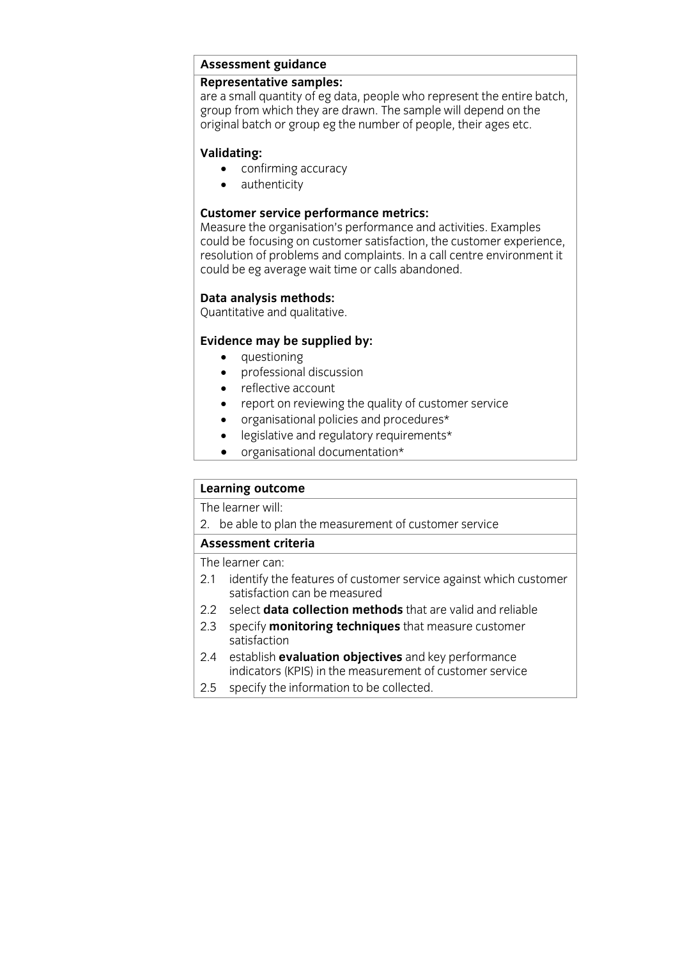## **Assessment guidance**

are a small quantity of eg data, people who represent the entire batch, group from which they are drawn. The sample will depend on the original batch or group eg the number of people, their ages etc. original batch or group eg the number of people, their ages etc.

- **validation**<br> **A** authenticity
	- authenticity

**Customer service performance metrics:**<br>Measure the organisation's performance and activities. Examples could be focusing on customer satisfaction, the customer experience, resolution of problems and complaints. In a call centre environment it could be eg average wait time or calls abandoned. could be eg average wait time or calls abandoned.

## **Data analysis methods:**<br>Quantitative and qualitative.

 $\sum_{i=1}^{n}$ 

- 
- **questioning**<br>• **professional discussion**  professional discussion
	- reflective account<br>• report on reviewin
	- report on reviewing the quality of customer service
	- organisational policies and procedures\*<br>• legislative and regulatory requirements\*
	- legislative and regulatory requirements\*
	- organisational documentation\*

## **Learning outcome**<br>The learner will:

2. be able to plan the measurement of customer service

## Assessment criteria

The learner can:

- 2.1 identify the features of customer service against which customer satisfaction can be measured
- 2.2 select **data collection methods** that are valid and reliable
- 2.2 sepecify **menitoring tochniques** that measure sustance 2.3 specify **monitoring techniques** that measure customer satisfaction<br>2.4 establish **evaluation objectives** and key performance
- indicators (KPIS) in the measurement of customer service
- 2.5 specify the information to be collected.  $2.5$  specified. The information to be collected.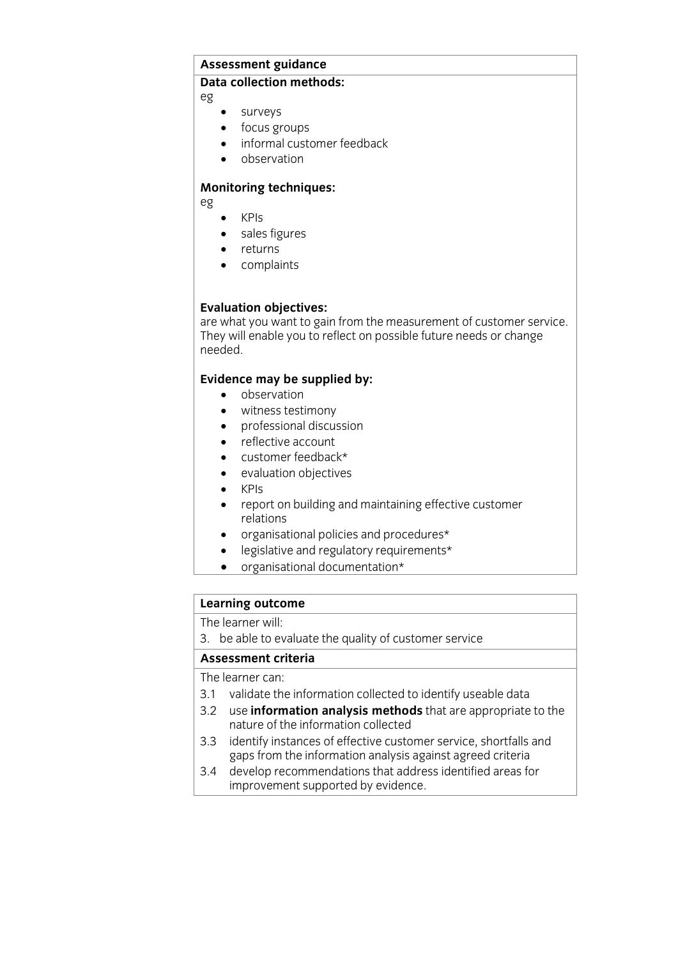## **Assessment guidance**

## **Data collection methods:**

eg

- surveys<br>• focus or
- focus groups
- informal customer feedback
- observation

## **Monitoring techniques:**

eg

- KPIs<br>• sales
- sales figures
- returns
- complaints

**Evaluation objectives:**<br>are what you want to gain from the measurement of customer service. They will enable you to reflect on nossible future needs or change They will enable you to reflect on possible future needs or change needed.

- **Evidence** may be supplied by:
	- witness testimony
	- professional discussion
	- reflective account
	- customer feedback\*<br>• evaluation objectives
	- evaluation objectives
	- KPIs<br>• renc
	- report on building and maintaining effective customer
	- organisational policies and procedures\*<br>• legislative and requistory requirements
	- legislative and regulatory requirements\*
	- organisational documentation\*

# **Learning outcome**<br>The learner will:

The results with  $\frac{1}{2}$ . because the customer service quality of customer services

The learner can:

- 3.1 validate the information collected to identify useable data
- 3.2 use information analysis methods that are appropriate to the nature of the information collected
- 3.3 identify instances of effective customer service, shortfalls and gaps from the information analysis against agreed criteria
- 3.4 develop recommendations that address identified areas for improvement supported by evidence. improvement supported by evidence.